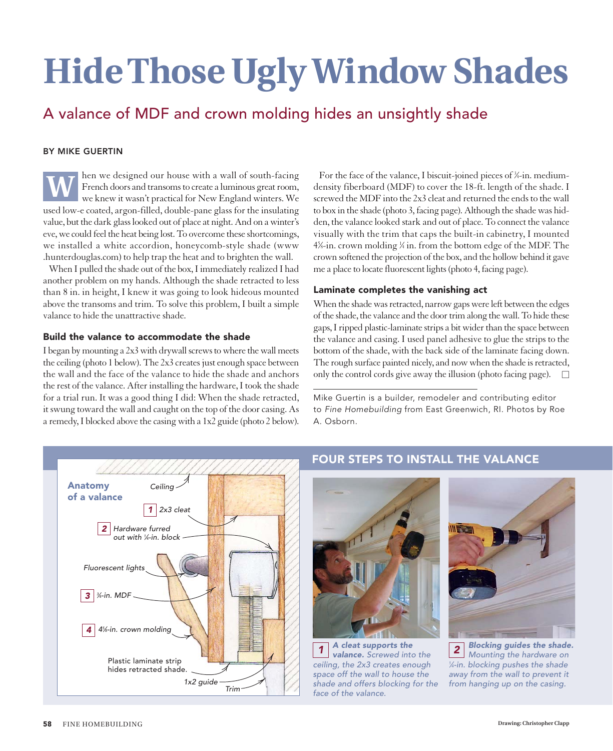# **Hide Those Ugly Window Shades**

## A valance of MDF and crown molding hides an unsightly shade

#### BY MIKE GUERTIN

hen we designed our house with a wall of south-facing French doors and transoms to create a luminous great room, we knew it wasn't practical for New England winters. We used low-e coated, argon-filled, double-pane glass for the insulating value, but the dark glass looked out of place at night. And on a winter's eve, we could feel the heat being lost. To overcome these shortcomings, we installed a white accordion, honeycomb-style shade (www .hunterdouglas.com) to help trap the heat and to brighten the wall. **W**

When I pulled the shade out of the box, I immediately realized I had another problem on my hands. Although the shade retracted to less than 8 in. in height, I knew it was going to look hideous mounted above the transoms and trim. To solve this problem, I built a simple valance to hide the unattractive shade.

#### Build the valance to accommodate the shade

I began by mounting a 2x3 with drywall screws to where the wall meets the ceiling (photo 1 below). The 2x3 creates just enough space between the wall and the face of the valance to hide the shade and anchors the rest of the valance. After installing the hardware, I took the shade for a trial run. It was a good thing I did: When the shade retracted, it swung toward the wall and caught on the top of the door casing. As a remedy, I blocked above the casing with a 1x2 guide (photo 2 below).

For the face of the valance, I biscuit-joined pieces of ¾-in. mediumdensity fiberboard (MDF) to cover the 18-ft. length of the shade. I screwed the MDF into the 2x3 cleat and returned the ends to the wall to box in the shade (photo 3, facing page). Although the shade was hidden, the valance looked stark and out of place. To connect the valance visually with the trim that caps the built-in cabinetry, I mounted 45 ⁄8-in. crown molding 1 ⁄4 in. from the bottom edge of the MDF. The crown softened the projection of the box, and the hollow behind it gave me a place to locate fluorescent lights (photo 4, facing page).

#### Laminate completes the vanishing act

When the shade was retracted, narrow gaps were left between the edges of the shade, the valance and the door trim along the wall. To hide these gaps, I ripped plastic-laminate strips a bit wider than the space between the valance and casing. I used panel adhesive to glue the strips to the bottom of the shade, with the back side of the laminate facing down. The rough surface painted nicely, and now when the shade is retracted, only the control cords give away the illusion (photo facing page).  $\Box$ 

Mike Guertin is a builder, remodeler and contributing editor to *Fine Homebuilding* from East Greenwich, RI. Photos by Roe A. Osborn.



### FOUR STEPS TO INSTALL THE VALANCE



*A cleat supports the valance. Screwed into the 1 2 ceiling, the 2x3 creates enough space off the wall to house the shade and offers blocking for the face of the valance.* 



*Blocking guides the shade. Mounting the hardware on 1 ⁄4-in. blocking pushes the shade away from the wall to prevent it from hanging up on the casing.*